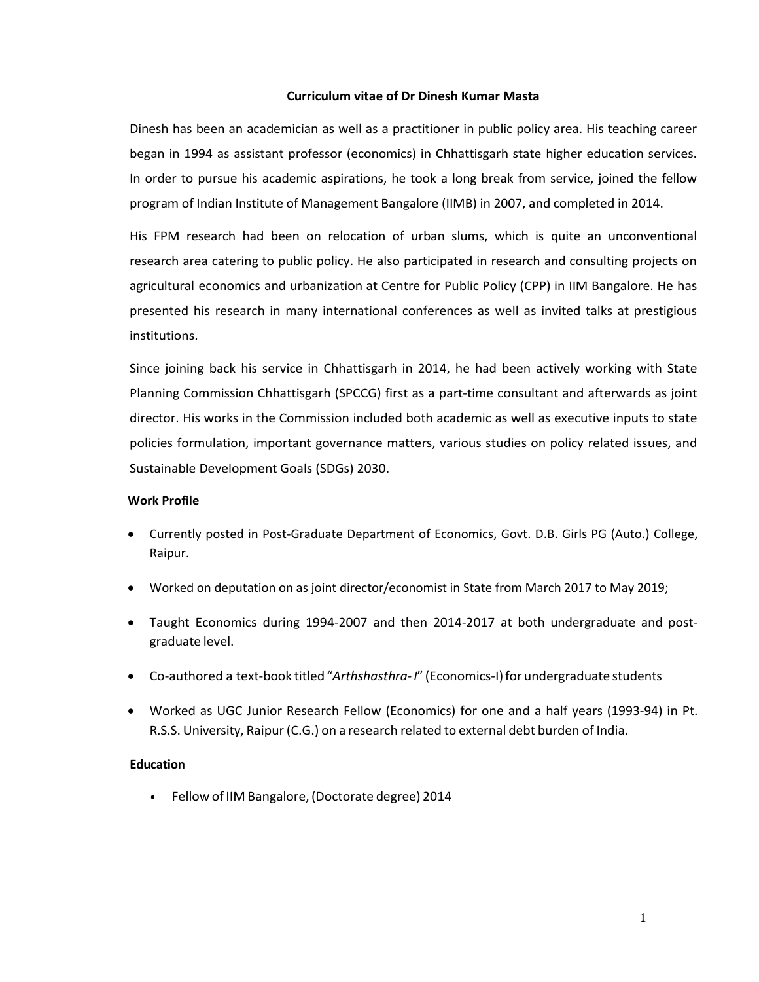#### **Curriculum vitae of Dr Dinesh Kumar Masta**

Dinesh has been an academician as well as a practitioner in public policy area. His teaching career began in 1994 as assistant professor (economics) in Chhattisgarh state higher education services. In order to pursue his academic aspirations, he took a long break from service, joined the fellow program of Indian Institute of Management Bangalore (IIMB) in 2007, and completed in 2014.

His FPM research had been on relocation of urban slums, which is quite an unconventional research area catering to public policy. He also participated in research and consulting projects on agricultural economics and urbanization at Centre for Public Policy (CPP) in IIM Bangalore. He has presented his research in many international conferences as well as invited talks at prestigious institutions.

Since joining back his service in Chhattisgarh in 2014, he had been actively working with State Planning Commission Chhattisgarh (SPCCG) first as a part-time consultant and afterwards as joint director. His works in the Commission included both academic as well as executive inputs to state policies formulation, important governance matters, various studies on policy related issues, and Sustainable Development Goals (SDGs) 2030.

#### **Work Profile**

- Currently posted in Post-Graduate Department of Economics, Govt. D.B. Girls PG (Auto.) College, Raipur.
- Worked on deputation on as joint director/economist in State from March 2017 to May 2019;
- Taught Economics during 1994-2007 and then 2014-2017 at both undergraduate and postgraduate level.
- Co-authored a text-book titled "*Arthshasthra‐I*" (Economics-I)for undergraduate students
- Worked as UGC Junior Research Fellow (Economics) for one and a half years (1993-94) in Pt. R.S.S. University, Raipur(C.G.) on a research related to external debt burden of India.

## **Education**

Fellow of IIM Bangalore, (Doctorate degree) 2014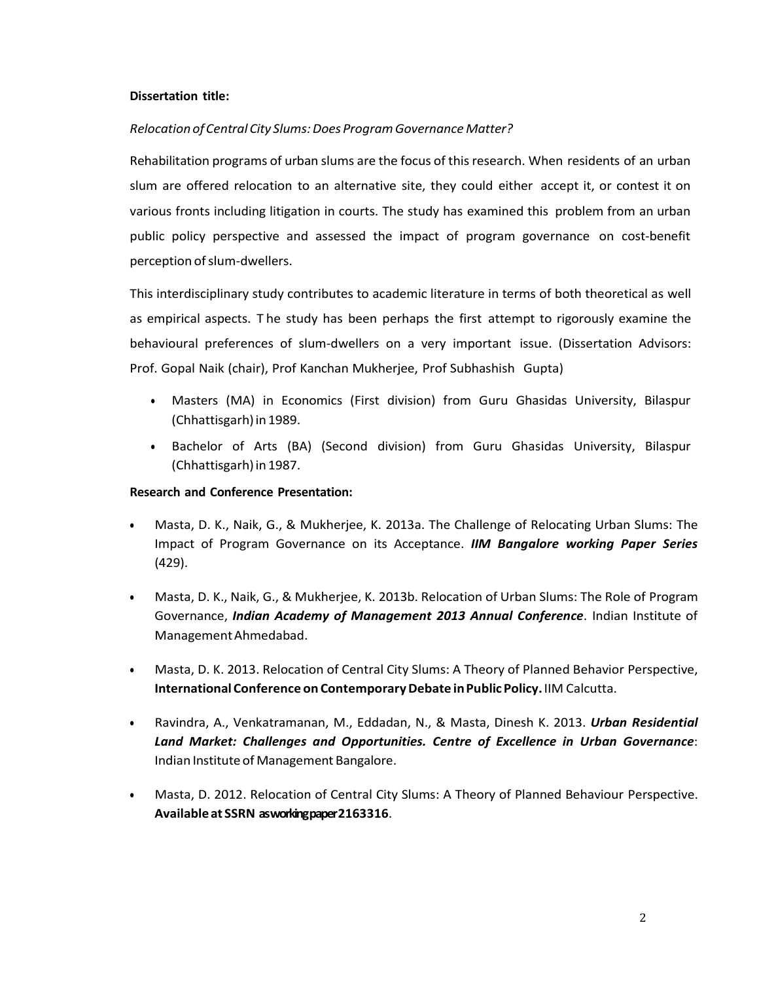### **Dissertation title:**

### *RelocationofCentral City Slums:Does ProgramGovernance Matter?*

Rehabilitation programs of urban slums are the focus of thisresearch. When residents of an urban slum are offered relocation to an alternative site, they could either accept it, or contest it on various fronts including litigation in courts. The study has examined this problem from an urban public policy perspective and assessed the impact of program governance on cost-benefit perception of slum-dwellers.

This interdisciplinary study contributes to academic literature in terms of both theoretical as well as empirical aspects. T he study has been perhaps the first attempt to rigorously examine the behavioural preferences of slum-dwellers on a very important issue. (Dissertation Advisors: Prof. Gopal Naik (chair), Prof Kanchan Mukherjee, Prof Subhashish Gupta)

- Masters (MA) in Economics (First division) from Guru Ghasidas University, Bilaspur (Chhattisgarh) in 1989.
- Bachelor of Arts (BA) (Second division) from Guru Ghasidas University, Bilaspur (Chhattisgarh) in 1987.

### **Research and Conference Presentation:**

- Masta, D. K., Naik, G., & Mukherjee, K. 2013a. The Challenge of Relocating Urban Slums: The Impact of Program Governance on its Acceptance. *IIM Bangalore working Paper Series* (429).
- Masta, D. K., Naik, G., & Mukherjee, K. 2013b. Relocation of Urban Slums: The Role of Program Governance, *Indian Academy of Management 2013 Annual Conference*. Indian Institute of ManagementAhmedabad.
- Masta, D. K. 2013. Relocation of Central City Slums: A Theory of Planned Behavior Perspective, **InternationalConference on ContemporaryDebate inPublic Policy.**IIM Calcutta.
- Ravindra, A., Venkatramanan, M., Eddadan, N., & Masta, Dinesh K. 2013. *Urban Residential Land Market: Challenges and Opportunities. Centre of Excellence in Urban Governance*: Indian Institute of Management Bangalore.
- Masta, D. 2012. Relocation of Central City Slums: A Theory of Planned Behaviour Perspective. **Availableat SSRN as working paper 2163316**.